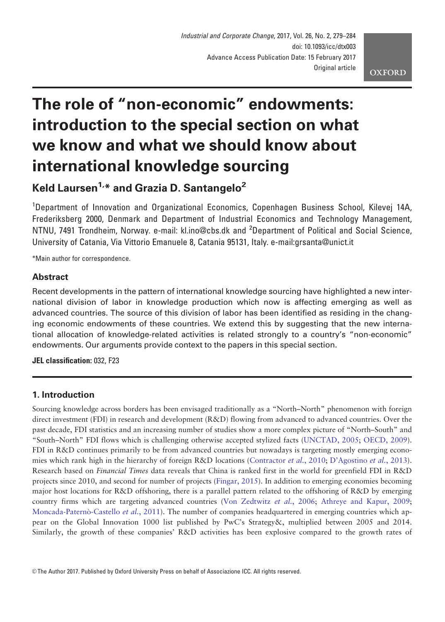# The role of "non-economic" endowments: introduction to the special section on what we know and what we should know about international knowledge sourcing

# Keld Laursen<sup>1,\*</sup> and Grazia D. Santangelo<sup>2</sup>

<sup>1</sup>Department of Innovation and Organizational Economics, Copenhagen Business School, Kilevej 14A, Frederiksberg 2000, Denmark and Department of Industrial Economics and Technology Management, NTNU, 7491 Trondheim, Norway. e-mail: kl.ino@cbs.dk and <sup>2</sup>Department of Political and Social Science, University of Catania, Via Vittorio Emanuele 8, Catania 95131, Italy. e-mail:grsanta@unict.it

\*Main author for correspondence.

### **Abstract**

Recent developments in the pattern of international knowledge sourcing have highlighted a new international division of labor in knowledge production which now is affecting emerging as well as advanced countries. The source of this division of labor has been identified as residing in the changing economic endowments of these countries. We extend this by suggesting that the new international allocation of knowledge-related activities is related strongly to a country's "non-economic" endowments. Our arguments provide context to the papers in this special section.

JEL classification: 032, F23

## 1. Introduction

Sourcing knowledge across borders has been envisaged traditionally as a "North–North" phenomenon with foreign direct investment (FDI) in research and development (R&D) flowing from advanced to advanced countries. Over the past decade, FDI statistics and an increasing number of studies show a more complex picture of "North–South" and "South–North" FDI flows which is challenging otherwise accepted stylized facts ([UNCTAD, 2005;](#page-5-0) [OECD, 2009](#page-5-0)). FDI in R&D continues primarily to be from advanced countries but nowadays is targeting mostly emerging econo-mies which rank high in the hierarchy of foreign R&D locations [\(Contractor](#page-4-0) et al., 2010; [D'Agostino](#page-4-0) et al., 2013). Research based on Financial Times data reveals that China is ranked first in the world for greenfield FDI in R&D projects since 2010, and second for number of projects ([Fingar, 2015\)](#page-4-0). In addition to emerging economies becoming major host locations for R&D offshoring, there is a parallel pattern related to the offshoring of R&D by emerging country firms which are targeting advanced countries ([Von Zedtwitz](#page-5-0) et al., 2006; [Athreye and Kapur, 2009;](#page-4-0) Moncada-Paternò-Castello et al., 2011). The number of companies headquartered in emerging countries which appear on the Global Innovation 1000 list published by PwC's Strategy&, multiplied between 2005 and 2014. Similarly, the growth of these companies' R&D activities has been explosive compared to the growth rates of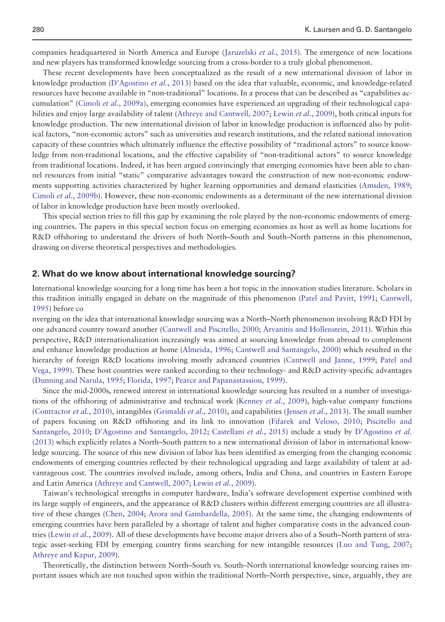companies headquartered in North America and Europe [\(Jaruzelski](#page-4-0) et al., 2015). The emergence of new locations and new players has transformed knowledge sourcing from a cross-border to a truly global phenomenon.

These recent developments have been conceptualized as the result of a new international division of labor in knowledge production ([D'Agostino](#page-4-0) *et al.*, 2013) based on the idea that valuable, economic, and knowledge-related resources have become available in "non-traditional" locations. In a process that can be described as "capabilities ac-cumulation" (Cimoli et al.[, 2009a](#page-4-0)), emerging economies have experienced an upgrading of their technological capa-bilities and enjoy large availability of talent ([Athreye and Cantwell, 2007](#page-4-0); Lewin et al.[, 2009\)](#page-5-0), both critical inputs for knowledge production. The new international division of labor in knowledge production is influenced also by political factors, "non-economic actors" such as universities and research institutions, and the related national innovation capacity of these countries which ultimately influence the effective possibility of "traditional actors" to source knowledge from non-traditional locations, and the effective capability of "non-traditional actors" to source knowledge from traditional locations. Indeed, it has been argued convincingly that emerging economies have been able to channel resources from initial "static" comparative advantages toward the construction of new non-economic endowments supporting activities characterized by higher learning opportunities and demand elasticities ([Amsden, 1989;](#page-3-0) Cimoli et al.[, 2009b\)](#page-4-0). However, these non-economic endowments as a determinant of the new international division of labor in knowledge production have been mostly overlooked.

This special section tries to fill this gap by examining the role played by the non-economic endowments of emerging countries. The papers in this special section focus on emerging economies as host as well as home locations for R&D offshoring to understand the drivers of both North–South and South–North patterns in this phenomenon, drawing on diverse theoretical perspectives and methodologies.

#### 2. What do we know about international knowledge sourcing?

International knowledge sourcing for a long time has been a hot topic in the innovation studies literature. Scholars in this tradition initially engaged in debate on the magnitude of this phenomenon ([Patel and Pavitt, 1991](#page-5-0); [Cantwell,](#page-4-0) [1995\)](#page-4-0) before co

nverging on the idea that international knowledge sourcing was a North–North phenomenon involving R&D FDI by one advanced country toward another [\(Cantwell and Piscitello, 2000](#page-4-0); [Arvanitis and Hollenstein, 2011](#page-4-0)). Within this perspective, R&D internationalization increasingly was aimed at sourcing knowledge from abroad to complement and enhance knowledge production at home [\(Almeida, 1996](#page-3-0); [Cantwell and Santangelo, 2000\)](#page-4-0) which resulted in the hierarchy of foreign R&D locations involving mostly advanced countries ([Cantwell and Janne, 1999;](#page-4-0) [Patel and](#page-5-0) [Vega, 1999](#page-5-0)). These host countries were ranked according to their technology- and R&D activity-specific advantages [\(Dunning and Narula, 1995](#page-4-0); [Florida, 1997](#page-4-0); [Pearce and Papanastassiou, 1999](#page-5-0)).

Since the mid-2000s, renewed interest in international knowledge sourcing has resulted in a number of investiga-tions of the offshoring of administrative and technical work ([Kenney](#page-5-0) et al., 2009), high-value company functions [\(Contractor](#page-4-0) et al., 2010), intangibles [\(Grimaldi](#page-4-0) et al., 2010), and capabilities [\(Jensen](#page-4-0) et al., 2013). The small number of papers focusing on R&D offshoring and its link to innovation [\(Fifarek and Veloso, 2010](#page-4-0); [Piscitello and](#page-5-0) [Santangelo, 2010;](#page-5-0) [D'Agostino and Santangelo, 2012](#page-4-0); [Castellani](#page-4-0) et al., 2015) include a study by [D'Agostino](#page-4-0) et al. [\(2013\)](#page-4-0) which explicitly relates a North–South pattern to a new international division of labor in international knowledge sourcing. The source of this new division of labor has been identified as emerging from the changing economic endowments of emerging countries reflected by their technological upgrading and large availability of talent at advantageous cost. The countries involved include, among others, India and China, and countries in Eastern Europe and Latin America [\(Athreye and Cantwell, 2007](#page-4-0); Lewin et al.[, 2009\)](#page-5-0).

Taiwan's technological strengths in computer hardware, India's software development expertise combined with its large supply of engineers, and the appearance of R&D clusters within different emerging countries are all illustrative of these changes [\(Chen, 2004;](#page-4-0) [Arora and Gambardella, 2005](#page-3-0)). At the same time, the changing endowments of emerging countries have been paralleled by a shortage of talent and higher comparative costs in the advanced coun-tries (Lewin et al.[, 2009\)](#page-5-0). All of these developments have become major drivers also of a South–North pattern of strategic asset-seeking FDI by emerging country firms searching for new intangible resources [\(Luo and Tung, 2007;](#page-5-0) [Athreye and Kapur, 2009](#page-4-0)).

Theoretically, the distinction between North–South vs. South–North international knowledge sourcing raises important issues which are not touched upon within the traditional North–North perspective, since, arguably, they are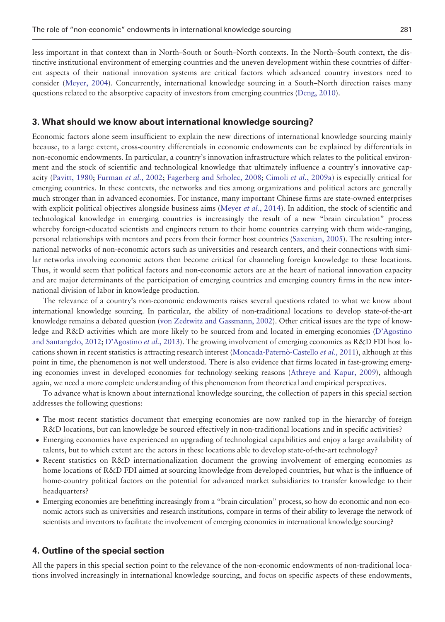less important in that context than in North–South or South–North contexts. In the North–South context, the distinctive institutional environment of emerging countries and the uneven development within these countries of different aspects of their national innovation systems are critical factors which advanced country investors need to consider [\(Meyer, 2004](#page-5-0)). Concurrently, international knowledge sourcing in a South–North direction raises many questions related to the absorptive capacity of investors from emerging countries ([Deng, 2010\)](#page-4-0).

#### 3. What should we know about international knowledge sourcing?

Economic factors alone seem insufficient to explain the new directions of international knowledge sourcing mainly because, to a large extent, cross-country differentials in economic endowments can be explained by differentials in non-economic endowments. In particular, a country's innovation infrastructure which relates to the political environment and the stock of scientific and technological knowledge that ultimately influence a country's innovative cap-acity [\(Pavitt, 1980](#page-5-0); [Furman](#page-4-0) et al., 2002; [Fagerberg and Srholec, 2008](#page-4-0); Cimoli et al.[, 2009a](#page-4-0)) is especially critical for emerging countries. In these contexts, the networks and ties among organizations and political actors are generally much stronger than in advanced economies. For instance, many important Chinese firms are state-owned enterprises with explicit political objectives alongside business aims [\(Meyer](#page-5-0) et al., 2014). In addition, the stock of scientific and technological knowledge in emerging countries is increasingly the result of a new "brain circulation" process whereby foreign-educated scientists and engineers return to their home countries carrying with them wide-ranging, personal relationships with mentors and peers from their former host countries [\(Saxenian, 2005\)](#page-5-0). The resulting international networks of non-economic actors such as universities and research centers, and their connections with similar networks involving economic actors then become critical for channeling foreign knowledge to these locations. Thus, it would seem that political factors and non-economic actors are at the heart of national innovation capacity and are major determinants of the participation of emerging countries and emerging country firms in the new international division of labor in knowledge production.

The relevance of a country's non-economic endowments raises several questions related to what we know about international knowledge sourcing. In particular, the ability of non-traditional locations to develop state-of-the-art knowledge remains a debated question ([von Zedtwitz and Gassmann, 2002\)](#page-5-0). Other critical issues are the type of knowledge and R&D activities which are more likely to be sourced from and located in emerging economies [\(D'Agostino](#page-4-0) [and Santangelo, 2012;](#page-4-0) [D'Agostino](#page-4-0) et al., 2013). The growing involvement of emerging economies as R&D FDI host locations shown in recent statistics is attracting research interest (Moncada-Paternò-Castello *et al*., 2011), although at this point in time, the phenomenon is not well understood. There is also evidence that firms located in fast-growing emerging economies invest in developed economies for technology-seeking reasons [\(Athreye and Kapur, 2009\)](#page-4-0), although again, we need a more complete understanding of this phenomenon from theoretical and empirical perspectives.

To advance what is known about international knowledge sourcing, the collection of papers in this special section addresses the following questions:

- The most recent statistics document that emerging economies are now ranked top in the hierarchy of foreign R&D locations, but can knowledge be sourced effectively in non-traditional locations and in specific activities?
- Emerging economies have experienced an upgrading of technological capabilities and enjoy a large availability of talents, but to which extent are the actors in these locations able to develop state-of-the-art technology?
- Recent statistics on R&D internationalization document the growing involvement of emerging economies as home locations of R&D FDI aimed at sourcing knowledge from developed countries, but what is the influence of home-country political factors on the potential for advanced market subsidiaries to transfer knowledge to their headquarters?
- Emerging economies are benefitting increasingly from a "brain circulation" process, so how do economic and non-economic actors such as universities and research institutions, compare in terms of their ability to leverage the network of scientists and inventors to facilitate the involvement of emerging economies in international knowledge sourcing?

#### 4. Outline of the special section

All the papers in this special section point to the relevance of the non-economic endowments of non-traditional locations involved increasingly in international knowledge sourcing, and focus on specific aspects of these endowments,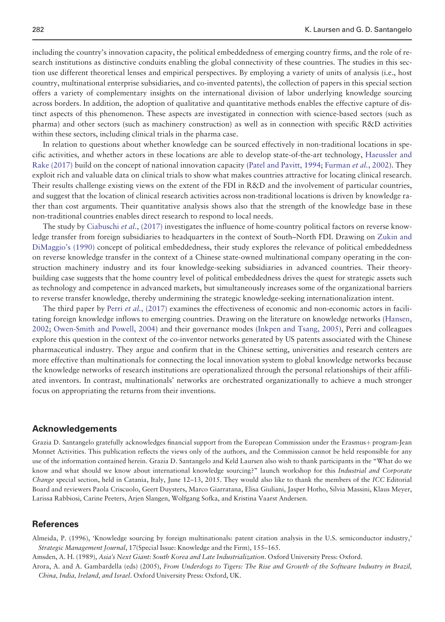<span id="page-3-0"></span>including the country's innovation capacity, the political embeddedness of emerging country firms, and the role of research institutions as distinctive conduits enabling the global connectivity of these countries. The studies in this section use different theoretical lenses and empirical perspectives. By employing a variety of units of analysis (i.e., host country, multinational enterprise subsidiaries, and co-invented patents), the collection of papers in this special section offers a variety of complementary insights on the international division of labor underlying knowledge sourcing across borders. In addition, the adoption of qualitative and quantitative methods enables the effective capture of distinct aspects of this phenomenon. These aspects are investigated in connection with science-based sectors (such as pharma) and other sectors (such as machinery construction) as well as in connection with specific R&D activities within these sectors, including clinical trials in the pharma case.

In relation to questions about whether knowledge can be sourced effectively in non-traditional locations in specific activities, and whether actors in these locations are able to develop state-of-the-art technology, [Haeussler and](#page-4-0) [Rake \(2017\)](#page-4-0) build on the concept of national innovation capacity [\(Patel and Pavitt, 1994;](#page-5-0) [Furman](#page-4-0) et al., 2002). They exploit rich and valuable data on clinical trials to show what makes countries attractive for locating clinical research. Their results challenge existing views on the extent of the FDI in R&D and the involvement of particular countries, and suggest that the location of clinical research activities across non-traditional locations is driven by knowledge rather than cost arguments. Their quantitative analysis shows also that the strength of the knowledge base in these non-traditional countries enables direct research to respond to local needs.

The study by [Ciabuschi](#page-4-0) et al., (2017) investigates the influence of home-country political factors on reverse knowledge transfer from foreign subsidiaries to headquarters in the context of South–North FDI. Drawing on [Zukin and](#page-5-0) [DiMaggio's \(1990\)](#page-5-0) concept of political embeddedness, their study explores the relevance of political embeddedness on reverse knowledge transfer in the context of a Chinese state-owned multinational company operating in the construction machinery industry and its four knowledge-seeking subsidiaries in advanced countries. Their theorybuilding case suggests that the home country level of political embeddedness drives the quest for strategic assets such as technology and competence in advanced markets, but simultaneously increases some of the organizational barriers to reverse transfer knowledge, thereby undermining the strategic knowledge-seeking internationalization intent.

The third paper by Perri *et al.*[, \(2017\)](#page-5-0) examines the effectiveness of economic and non-economic actors in facilitating foreign knowledge inflows to emerging countries. Drawing on the literature on knowledge networks [\(Hansen,](#page-4-0) [2002;](#page-4-0) [Owen-Smith and Powell, 2004](#page-5-0)) and their governance modes ([Inkpen and Tsang, 2005](#page-4-0)), Perri and colleagues explore this question in the context of the co-inventor networks generated by US patents associated with the Chinese pharmaceutical industry. They argue and confirm that in the Chinese setting, universities and research centers are more effective than multinationals for connecting the local innovation system to global knowledge networks because the knowledge networks of research institutions are operationalized through the personal relationships of their affiliated inventors. In contrast, multinationals' networks are orchestrated organizationally to achieve a much stronger focus on appropriating the returns from their inventions.

#### Acknowledgements

Grazia D. Santangelo gratefully acknowledges financial support from the European Commission under the Erasmus+ program-Jean Monnet Activities. This publication reflects the views only of the authors, and the Commission cannot be held responsible for any use of the information contained herein. Grazia D. Santangelo and Keld Laursen also wish to thank participants in the "What do we know and what should we know about international knowledge sourcing?" launch workshop for this Industrial and Corporate Change special section, held in Catania, Italy, June 12–13, 2015. They would also like to thank the members of the ICC Editorial Board and reviewers Paola Criscuolo, Geert Duysters, Marco Giarratana, Elisa Giuliani, Jasper Hotho, Silvia Massini, Klaus Meyer, Larissa Rabbiosi, Carine Peeters, Arjen Slangen, Wolfgang Sofka, and Kristina Vaarst Andersen.

#### References

Almeida, P. (1996), 'Knowledge sourcing by foreign multinationals: patent citation analysis in the U.S. semiconductor industry,' Strategic Management Journal, 17(Special Issue: Knowledge and the Firm), 155–165.

Amsden, A. H. (1989), Asia's Next Giant: South Korea and Late Industrialization. Oxford University Press: Oxford.

Arora, A. and A. Gambardella (eds) (2005), From Underdogs to Tigers: The Rise and Growth of the Software Industry in Brazil, China, India, Ireland, and Israel. Oxford University Press: Oxford, UK.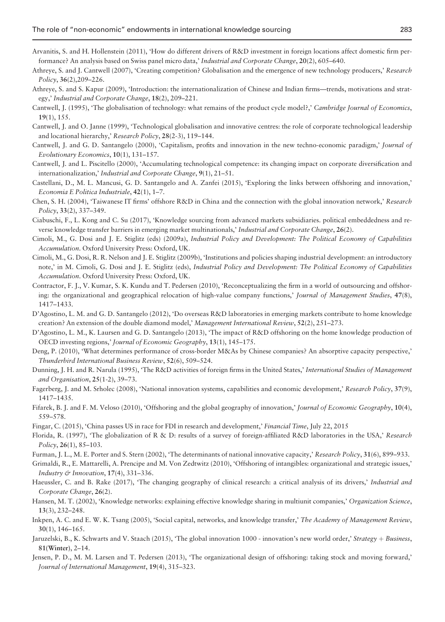- <span id="page-4-0"></span>Arvanitis, S. and H. Hollenstein (2011), 'How do different drivers of R&D investment in foreign locations affect domestic firm performance? An analysis based on Swiss panel micro data,' Industrial and Corporate Change, 20(2), 605–640.
- Athreye, S. and J. Cantwell (2007), 'Creating competition? Globalisation and the emergence of new technology producers,' Research Policy, 36(2),209–226.
- Athreye, S. and S. Kapur (2009), 'Introduction: the internationalization of Chinese and Indian firms—trends, motivations and strategy,' Industrial and Corporate Change, 18(2), 209–221.
- Cantwell, J. (1995), 'The globalisation of technology: what remains of the product cycle model?,' Cambridge Journal of Economics, 19(1), 155.
- Cantwell, J. and O. Janne (1999), 'Technological globalisation and innovative centres: the role of corporate technological leadership and locational hierarchy,' Research Policy, 28(2-3), 119–144.
- Cantwell, J. and G. D. Santangelo (2000), 'Capitalism, profits and innovation in the new techno-economic paradigm,' Journal of Evolutionary Economics, 10(1), 131–157.
- Cantwell, J. and L. Piscitello (2000), 'Accumulating technological competence: its changing impact on corporate diversification and internationalization,' Industrial and Corporate Change, 9(1), 21–51.
- Castellani, D., M. L. Mancusi, G. D. Santangelo and A. Zanfei (2015), 'Exploring the links between offshoring and innovation,' Economia E Politica Industriale, 42(1), 1–7.
- Chen, S. H. (2004), 'Taiwanese IT firms' offshore R&D in China and the connection with the global innovation network,' Research Policy, 33(2), 337–349.
- Ciabuschi, F., L. Kong and C. Su (2017), 'Knowledge sourcing from advanced markets subsidiaries. political embeddedness and reverse knowledge transfer barriers in emerging market multinationals,' Industrial and Corporate Change, 26(2).
- Cimoli, M., G. Dosi and J. E. Stiglitz (eds) (2009a), Industrial Policy and Development: The Political Economy of Capabilities Accumulation. Oxford University Press: Oxford, UK.
- Cimoli, M., G. Dosi, R. R. Nelson and J. E. Stiglitz (2009b), 'Institutions and policies shaping industrial development: an introductory note,' in M. Cimoli, G. Dosi and J. E. Stiglitz (eds), Industrial Policy and Development: The Political Economy of Capabilities Accumulation. Oxford University Press: Oxford, UK.
- Contractor, F. J., V. Kumar, S. K. Kundu and T. Pedersen (2010), 'Reconceptualizing the firm in a world of outsourcing and offshoring: the organizational and geographical relocation of high-value company functions,' Journal of Management Studies, 47(8), 1417–1433.
- D'Agostino, L. M. and G. D. Santangelo (2012), 'Do overseas R&D laboratories in emerging markets contribute to home knowledge creation? An extension of the double diamond model,' Management International Review, 52(2), 251–273.
- D'Agostino, L. M., K. Laursen and G. D. Santangelo (2013), 'The impact of R&D offshoring on the home knowledge production of OECD investing regions,' Journal of Economic Geography, 13(1), 145–175.
- Deng, P. (2010), 'What determines performance of cross-border M&As by Chinese companies? An absorptive capacity perspective,' Thunderbird International Business Review, 52(6), 509–524.
- Dunning, J. H. and R. Narula (1995), 'The R&D activities of foreign firms in the United States,' International Studies of Management and Organisation, 25(1-2), 39–73.
- Fagerberg, J. and M. Srholec (2008), 'National innovation systems, capabilities and economic development,' Research Policy, 37(9), 1417–1435.
- Fifarek, B. J. and F. M. Veloso (2010), 'Offshoring and the global geography of innovation,' Journal of Economic Geography, 10(4), 559–578.
- Fingar, C. (2015), 'China passes US in race for FDI in research and development,' Financial Time, July 22, 2015
- Florida, R. (1997), 'The globalization of R & D: results of a survey of foreign-affiliated R&D laboratories in the USA,' Research Policy, 26(1), 85–103.
- Furman, J. L., M. E. Porter and S. Stern (2002), 'The determinants of national innovative capacity,' Research Policy, 31(6), 899–933.
- Grimaldi, R., E. Mattarelli, A. Prencipe and M. Von Zedtwitz (2010), 'Offshoring of intangibles: organizational and strategic issues,' Industry & Innovation, 17(4), 331–336.
- Haeussler, C. and B. Rake (2017), 'The changing geography of clinical research: a critical analysis of its drivers,' Industrial and Corporate Change, 26(2).
- Hansen, M. T. (2002), 'Knowledge networks: explaining effective knowledge sharing in multiunit companies,' Organization Science, 13(3), 232–248.
- Inkpen, A. C. and E. W. K. Tsang (2005), 'Social capital, networks, and knowledge transfer,' The Academy of Management Review, 30(1), 146–165.
- Jaruzelski, B., K. Schwarts and V. Staach (2015), 'The global innovation 1000 innovation's new world order,' Strategy + Business, 81(Winter), 2–14.
- Jensen, P. D., M. M. Larsen and T. Pedersen (2013), 'The organizational design of offshoring: taking stock and moving forward,' Journal of International Management, 19(4), 315–323.